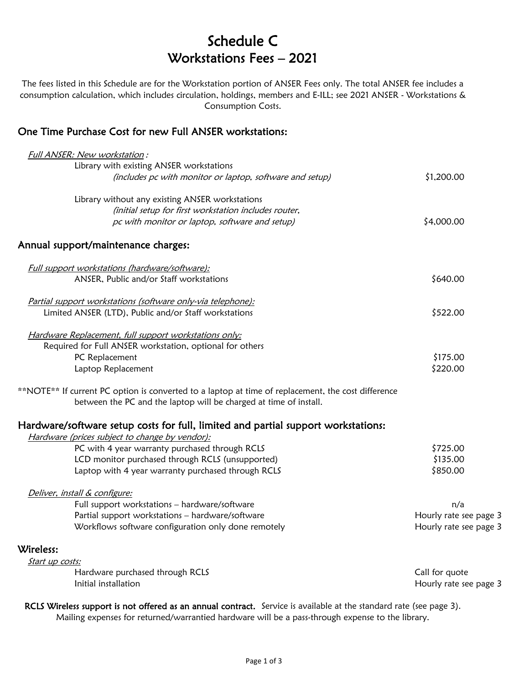# Schedule C Workstations Fees – 2021

The fees listed in this Schedule are for the Workstation portion of ANSER Fees only. The total ANSER fee includes a consumption calculation, which includes circulation, holdings, members and E-ILL; see 2021 ANSER - Workstations & Consumption Costs.

### One Time Purchase Cost for new Full ANSER workstations:

| Full ANSER: New workstation:                                                                       |                        |
|----------------------------------------------------------------------------------------------------|------------------------|
| Library with existing ANSER workstations                                                           |                        |
| (includes pc with monitor or laptop, software and setup)                                           | \$1,200.00             |
| Library without any existing ANSER workstations                                                    |                        |
| (initial setup for first workstation includes router,                                              |                        |
| pc with monitor or laptop, software and setup)                                                     | \$4,000.00             |
| Annual support/maintenance charges:                                                                |                        |
| Full support workstations (hardware/software):                                                     |                        |
| ANSER, Public and/or Staff workstations                                                            | \$640.00               |
| Partial support workstations (software only-via telephone):                                        |                        |
| Limited ANSER (LTD), Public and/or Staff workstations                                              | \$522.00               |
| Hardware Replacement, full support workstations only:                                              |                        |
| Required for Full ANSER workstation, optional for others                                           |                        |
| PC Replacement                                                                                     | \$175.00               |
| Laptop Replacement                                                                                 | \$220.00               |
| **NOTE** If current PC option is converted to a laptop at time of replacement, the cost difference |                        |
| between the PC and the laptop will be charged at time of install.                                  |                        |
| Hardware/software setup costs for full, limited and partial support workstations:                  |                        |
| Hardware (prices subject to change by vendor):                                                     |                        |
| PC with 4 year warranty purchased through RCLS                                                     | \$725.00               |
| LCD monitor purchased through RCLS (unsupported)                                                   | \$135.00               |
| Laptop with 4 year warranty purchased through RCLS                                                 | \$850.00               |
| Deliver, install & configure:                                                                      |                        |
| Full support workstations - hardware/software                                                      | n/a                    |
| Partial support workstations - hardware/software                                                   | Hourly rate see page 3 |
| Workflows software configuration only done remotely                                                | Hourly rate see page 3 |
| Wireless:                                                                                          |                        |
| Start up costs:                                                                                    |                        |
| Hardware purchased through RCLS                                                                    | Call for quote         |
| Initial installation                                                                               | Hourly rate see page 3 |

RCLS Wireless support is not offered as an annual contract. Service is available at the standard rate (see page 3). Mailing expenses for returned/warrantied hardware will be a pass-through expense to the library.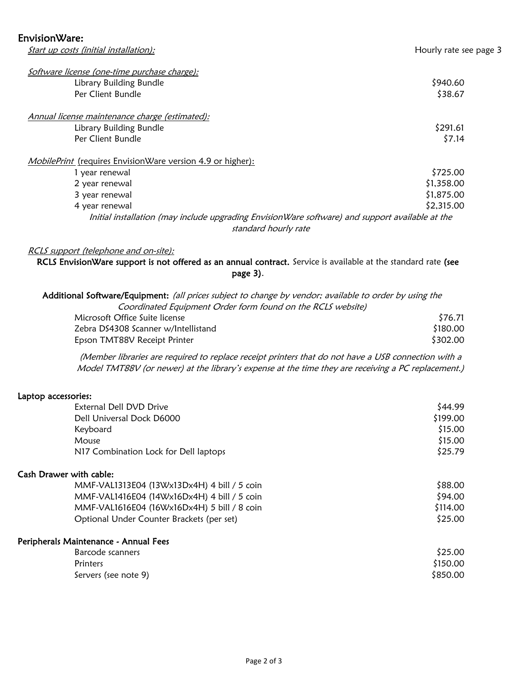Start up costs (initial installation): Start up costs (initial installation):

| Software license (one-time purchase charge):<br>Library Building Bundle<br>Per Client Bundle                                                                                                                                                                         | \$940.60<br>\$38.67                                |
|----------------------------------------------------------------------------------------------------------------------------------------------------------------------------------------------------------------------------------------------------------------------|----------------------------------------------------|
| Annual license maintenance charge (estimated):<br>Library Building Bundle<br>Per Client Bundle                                                                                                                                                                       | \$291.61<br>\$7.14                                 |
| <i>MobilePrint</i> (requires EnvisionWare version 4.9 or higher):<br>1 year renewal<br>2 year renewal<br>3 year renewal<br>4 year renewal<br>Initial installation (may include upgrading EnvisionWare software) and support available at the<br>standard hourly rate | \$725.00<br>\$1,358.00<br>\$1,875.00<br>\$2,315.00 |

#### RCLS support (telephone and on-site):

RCLS EnvisionWare support is not offered as an annual contract. Service is available at the standard rate (see page 3).

| Additional Software/Equipment: (all prices subject to change by vendor; available to order by using the |          |
|---------------------------------------------------------------------------------------------------------|----------|
| Coordinated Equipment Order form found on the RCLS website)                                             |          |
| Microsoft Office Suite license                                                                          | \$76.71  |
| Zebra DS4308 Scanner w/Intellistand                                                                     | \$180.00 |

(Member libraries are required to replace receipt printers that do not have a USB connection with a Model TMT88V (or newer) at the library's expense at the time they are receiving a PC replacement.)

Epson TMT88V Receipt Printer **\$302.00** S302.00

#### Laptop accessories:

| External Dell DVD Drive                     | \$44.99  |
|---------------------------------------------|----------|
| Dell Universal Dock D6000                   | \$199.00 |
| Keyboard                                    | \$15.00  |
| Mouse                                       | \$15.00  |
| N17 Combination Lock for Dell laptops       | \$25.79  |
| Cash Drawer with cable:                     |          |
| MMF-VAL1313E04 (13Wx13Dx4H) 4 bill / 5 coin | \$88.00  |
| MMF-VAL1416E04 (14Wx16Dx4H) 4 bill / 5 coin | \$94.00  |
| MMF-VAL1616E04 (16Wx16Dx4H) 5 bill / 8 coin | \$114.00 |
| Optional Under Counter Brackets (per set)   | \$25.00  |
| Peripherals Maintenance - Annual Fees       |          |
| Barcode scanners                            | \$25.00  |
| Printers                                    | \$150.00 |
| Servers (see note 9)                        | \$850.00 |